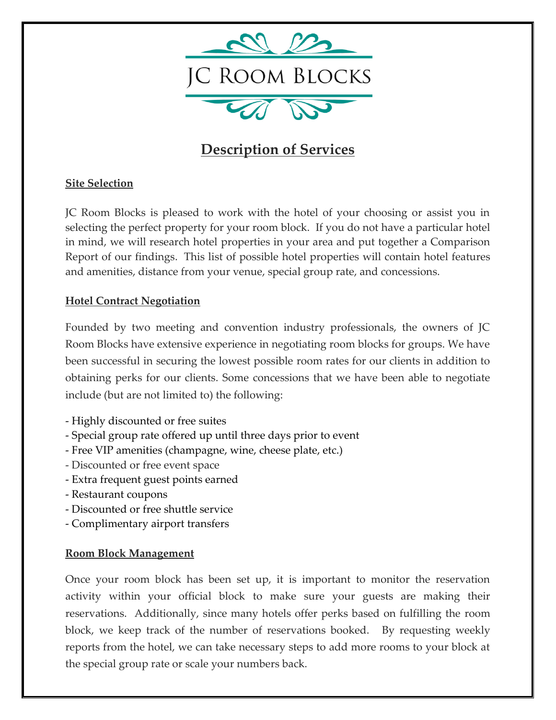

# **Description of Services**

## **Site Selection**

JC Room Blocks is pleased to work with the hotel of your choosing or assist you in selecting the perfect property for your room block. If you do not have a particular hotel in mind, we will research hotel properties in your area and put together a Comparison Report of our findings. This list of possible hotel properties will contain hotel features and amenities, distance from your venue, special group rate, and concessions.

### **Hotel Contract Negotiation**

Founded by two meeting and convention industry professionals, the owners of JC Room Blocks have extensive experience in negotiating room blocks for groups. We have been successful in securing the lowest possible room rates for our clients in addition to obtaining perks for our clients. Some concessions that we have been able to negotiate include (but are not limited to) the following:

- Highly discounted or free suites
- Special group rate offered up until three days prior to event
- Free VIP amenities (champagne, wine, cheese plate, etc.)
- Discounted or free event space
- Extra frequent guest points earned
- Restaurant coupons
- Discounted or free shuttle service
- Complimentary airport transfers

#### **Room Block Management**

Once your room block has been set up, it is important to monitor the reservation activity within your official block to make sure your guests are making their reservations. Additionally, since many hotels offer perks based on fulfilling the room block, we keep track of the number of reservations booked. By requesting weekly reports from the hotel, we can take necessary steps to add more rooms to your block at the special group rate or scale your numbers back.